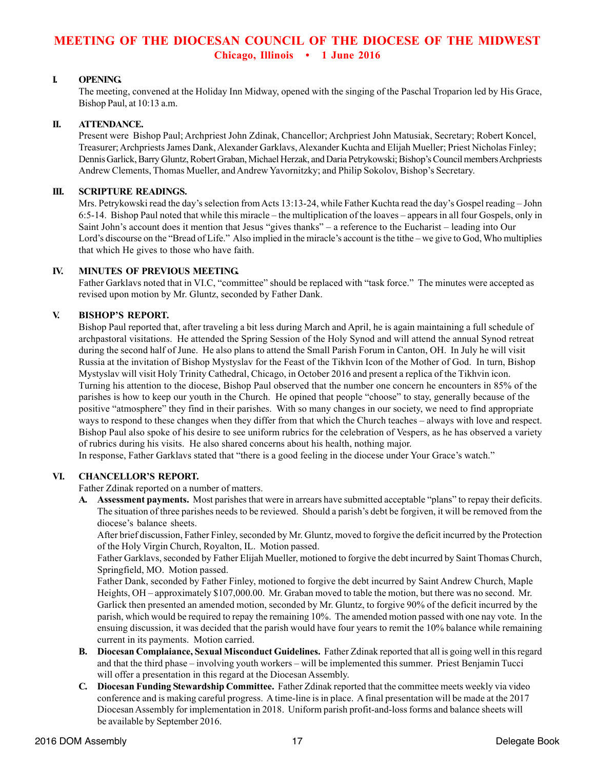# **MEETING OF THE DIOCESAN COUNCIL OF THE DIOCESE OF THE MIDWEST Chicago, Illinois • 1 June 2016**

## **I. OPENING.**

The meeting, convened at the Holiday Inn Midway, opened with the singing of the Paschal Troparion led by His Grace, Bishop Paul, at 10:13 a.m.

## **II. ATTENDANCE.**

Present were Bishop Paul; Archpriest John Zdinak, Chancellor; Archpriest John Matusiak, Secretary; Robert Koncel, Treasurer; Archpriests James Dank, Alexander Garklavs, Alexander Kuchta and Elijah Mueller; Priest Nicholas Finley; Dennis Garlick, Barry Gluntz, Robert Graban, Michael Herzak, and Daria Petrykowski; Bishop's Council members Archpriests Andrew Clements, Thomas Mueller, and Andrew Yavornitzky; and Philip Sokolov, Bishop's Secretary.

### **III. SCRIPTURE READINGS.**

Mrs. Petrykowski read the day's selection from Acts 13:13-24, while Father Kuchta read the day's Gospel reading – John 6:5-14. Bishop Paul noted that while this miracle – the multiplication of the loaves – appears in all four Gospels, only in Saint John's account does it mention that Jesus "gives thanks" – a reference to the Eucharist – leading into Our Lord's discourse on the "Bread of Life." Also implied in the miracle's account is the tithe – we give to God, Who multiplies that which He gives to those who have faith.

#### **IV. MINUTES OF PREVIOUS MEETING.**

Father Garklavs noted that in VI.C, "committee" should be replaced with "task force." The minutes were accepted as revised upon motion by Mr. Gluntz, seconded by Father Dank.

## **V. BISHOP'S REPORT.**

Bishop Paul reported that, after traveling a bit less during March and April, he is again maintaining a full schedule of archpastoral visitations. He attended the Spring Session of the Holy Synod and will attend the annual Synod retreat during the second half of June. He also plans to attend the Small Parish Forum in Canton, OH. In July he will visit Russia at the invitation of Bishop Mystyslav for the Feast of the Tikhvin Icon of the Mother of God. In turn, Bishop Mystyslav will visit Holy Trinity Cathedral, Chicago, in October 2016 and present a replica of the Tikhvin icon. Turning his attention to the diocese, Bishop Paul observed that the number one concern he encounters in 85% of the parishes is how to keep our youth in the Church. He opined that people "choose" to stay, generally because of the positive "atmosphere" they find in their parishes. With so many changes in our society, we need to find appropriate ways to respond to these changes when they differ from that which the Church teaches – always with love and respect. Bishop Paul also spoke of his desire to see uniform rubrics for the celebration of Vespers, as he has observed a variety of rubrics during his visits. He also shared concerns about his health, nothing major.

In response, Father Garklavs stated that "there is a good feeling in the diocese under Your Grace's watch."

## **VI. CHANCELLOR'S REPORT.**

Father Zdinak reported on a number of matters.

**A. Assessment payments.** Most parishes that were in arrears have submitted acceptable "plans" to repay their deficits. The situation of three parishes needs to be reviewed. Should a parish's debt be forgiven, it will be removed from the diocese's balance sheets.

After brief discussion, Father Finley, seconded by Mr. Gluntz, moved to forgive the deficit incurred by the Protection of the Holy Virgin Church, Royalton, IL. Motion passed.

Father Garklavs, seconded by Father Elijah Mueller, motioned to forgive the debt incurred by Saint Thomas Church, Springfield, MO. Motion passed.

Father Dank, seconded by Father Finley, motioned to forgive the debt incurred by Saint Andrew Church, Maple Heights, OH – approximately \$107,000.00. Mr. Graban moved to table the motion, but there was no second. Mr. Garlick then presented an amended motion, seconded by Mr. Gluntz, to forgive 90% of the deficit incurred by the parish, which would be required to repay the remaining 10%. The amended motion passed with one nay vote. In the ensuing discussion, it was decided that the parish would have four years to remit the 10% balance while remaining current in its payments. Motion carried.

- **B. Diocesan Complaiance, Sexual Misconduct Guidelines.** Father Zdinak reported that all is going well in this regard and that the third phase – involving youth workers – will be implemented this summer. Priest Benjamin Tucci will offer a presentation in this regard at the Diocesan Assembly.
- **C. Diocesan Funding Stewardship Committee.** Father Zdinak reported that the committee meets weekly via video conference and is making careful progress. A time-line is in place. A final presentation will be made at the 2017 Diocesan Assembly for implementation in 2018. Uniform parish profit-and-loss forms and balance sheets will be available by September 2016.